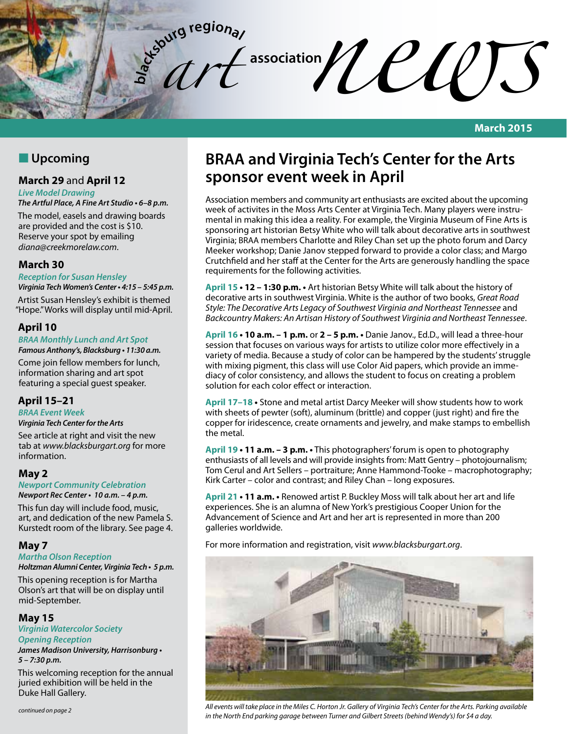association*nel* entertaint **bl a**<sub>c</sub><sup>t</sup></sup>**d c**<sup>**d**</sup><br> **b**<sup>c</sup><sub>c</sub><sup>*d*</sup>

**March 2015**

# **N** Upcoming

# **March 29** and **April 12**

*Live Model Drawing*

**The Artful Place, A Fine Art Studio • 6–8 p.m.**

The model, easels and drawing boards are provided and the cost is \$10. Reserve your spot by emailing *diana@creekmorelaw.com*.

## **March 30**

#### **Reception for Susan Hensley**

**Virginia Tech Women's Center • 4:15 – 5:45 p.m.**

Artist Susan Hensley's exhibit is themed "Hope." Works will display until mid-April.

## **April 10**

### *BRAA* **Monthly Lunch and Art Spot**

**Famous Anthony's, Blacksburg • 11:30 a.m.** Come join fellow members for lunch, information sharing and art spot featuring a special guest speaker.

# **April 15–21**

# *BRAA* **Event Week**

**Virginia Tech Center for the Arts**

See article at right and visit the new tab at *www.blacksburgart.org* for more information.

## **May 2**

**Newport Community Celebration Newport Rec Center • 10 a.m. – 4 p.m.**

This fun day will include food, music, art, and dedication of the new Pamela S. Kurstedt room of the library. See page 4.

# **May 7**

## **Martha Olson Reception**

**Holtzman Alumni Center, Virginia Tech • 5 p.m.**

This opening reception is for Martha Olson's art that will be on display until mid-September.

## **May 15**

**Virginia Watercolor Society**

**Opening Reception James Madison University, Harrisonburg •** 

**5 – 7:30 p.m.**

This welcoming reception for the annual juried exhibition will be held in the Duke Hall Gallery.

# **BRAA and Virginia Tech's Center for the Arts sponsor event week in April**

Association members and community art enthusiasts are excited about the upcoming week of activites in the Moss Arts Center at Virginia Tech. Many players were instrumental in making this idea a reality. For example, the Virginia Museum of Fine Arts is sponsoring art historian Betsy White who will talk about decorative arts in southwest Virginia; BRAA members Charlotte and Riley Chan set up the photo forum and Darcy Meeker workshop; Danie Janov stepped forward to provide a color class; and Margo Crutchfield and her staff at the Center for the Arts are generously handling the space requirements for the following activities.

**April 15 • 12 – 1:30 p.m. •** Art historian Betsy White will talk about the history of decorative arts in southwest Virginia. White is the author of two books, *Great Road Style: The Decorative Arts Legacy of Southwest Virginia and Northeast Tennessee* and *Backcountry Makers: An Artisan History of Southwest Virginia and Northeast Tennessee*.

**April 16 • 10 a.m. – 1 p.m.** or **2 – 5 p.m. •** Danie Janov., Ed.D., will lead a three-hour session that focuses on various ways for artists to utilize color more effectively in a variety of media. Because a study of color can be hampered by the students' struggle with mixing pigment, this class will use Color Aid papers, which provide an immediacy of color consistency, and allows the student to focus on creating a problem solution for each color effect or interaction.

**April 17–18 •** Stone and metal artist Darcy Meeker will show students how to work with sheets of pewter (soft), aluminum (brittle) and copper (just right) and fire the copper for iridescence, create ornaments and jewelry, and make stamps to embellish the metal.

**April 19 • 11 a.m. – 3 p.m. •** This photographers' forum is open to photography enthusiasts of all levels and will provide insights from: Matt Gentry – photojournalism; Tom Cerul and Art Sellers – portraiture; Anne Hammond-Tooke – macrophotography; Kirk Carter – color and contrast; and Riley Chan – long exposures.

**April 21 • 11 a.m. •** Renowed artist P. Buckley Moss will talk about her art and life experiences. She is an alumna of New York's prestigious Cooper Union for the Advancement of Science and Art and her art is represented in more than 200 galleries worldwide.

For more information and registration, visit *www.blacksburgart.org*.



*All events will take place in the Miles C. Horton Jr. Gallery of Virginia Tech's Center for the Arts. Parking available in the North End parking garage between Turner and Gilbert Streets (behind Wendy's) for \$4 a day.*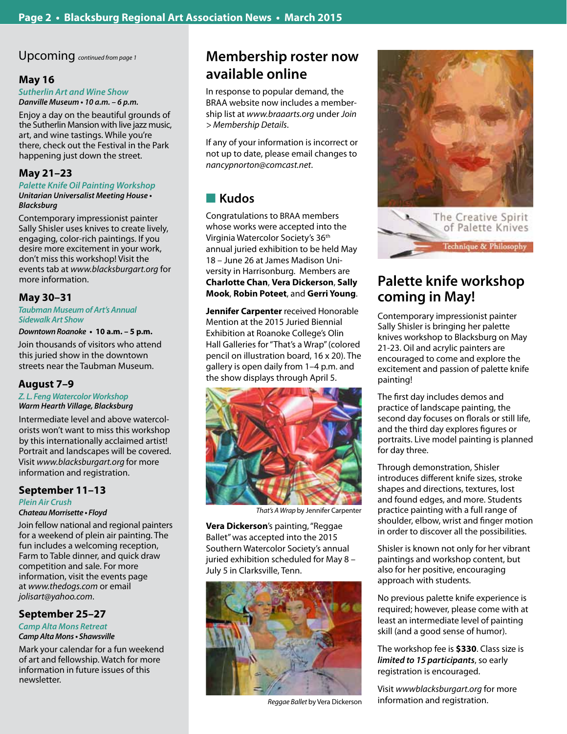Upcoming *continued from page 1*

## **May 16**

*Sutherlin Art and Wine Show* **Danville Museum • 10 a.m. – 6 p.m.**

Enjoy a day on the beautiful grounds of the Sutherlin Mansion with live jazz music, art, and wine tastings. While you're there, check out the Festival in the Park happening just down the street.

## **May 21–23**

#### **Palette Knife Oil Painting Workshop Unitarian Universalist Meeting House •**

### **Blacksburg**

Contemporary impressionist painter Sally Shisler uses knives to create lively, engaging, color-rich paintings. If you desire more excitement in your work, don't miss this workshop! Visit the events tab at *www.blacksburgart.org* for more information.

## **May 30–31**

**Taubman Museum of Art's** *Annual*  **Sidewalk Art Show**

### **Downtown Roanoke • 10 a.m. – 5 p.m.**

Join thousands of visitors who attend this juried show in the downtown streets near the Taubman Museum.

## **August 7–9**

#### **Z. L. Feng Watercolor Workshop Warm Hearth Village, Blacksburg**

Intermediate level and above watercolorists won't want to miss this workshop by this internationally acclaimed artist! Portrait and landscapes will be covered. Visit *www.blacksburgart.org* for more information and registration.

## **September 11–13**

### **Plein Air Crush**

## **Chateau Morrisette • Floyd**

Join fellow national and regional painters for a weekend of plein air painting. The fun includes a welcoming reception, Farm to Table dinner, and quick draw competition and sale. For more information, visit the events page at *www.thedogs.com* or email *jolisart@yahoo.com*.

## **September 25–27**

#### **Camp Alta Mons Retreat Camp Alta Mons • Shawsville**

Mark your calendar for a fun weekend of art and fellowship. Watch for more information in future issues of this newsletter.

# **Membership roster now available online**

In response to popular demand, the BRAA website now includes a membership list at *www.braaarts.org* under *Join > Membership Details*.

If any of your information is incorrect or not up to date, please email changes to *nancypnorton@comcast.net*.

# **n** Kudos

Congratulations to BRAA members whose works were accepted into the Virginia Watercolor Society's 36th annual juried exhibition to be held May 18 – June 26 at James Madison University in Harrisonburg. Members are **Charlotte Chan**, **Vera Dickerson**, **Sally Mook**, **Robin Poteet**, and **Gerri Young**.

**Jennifer Carpenter** received Honorable Mention at the 2015 Juried Biennial Exhibition at Roanoke College's Olin Hall Galleries for "That's a Wrap" (colored pencil on illustration board, 16 x 20). The gallery is open daily from 1–4 p.m. and the show displays through April 5.



*That's A Wrap* by Jennifer Carpenter

**Vera Dickerson**'s painting, "Reggae Ballet" was accepted into the 2015 Southern Watercolor Society's annual juried exhibition scheduled for May 8 – July 5 in Clarksville, Tenn.



*Reggae Ballet* by Vera Dickerson



The Creative Spirit of Palette Knives Fechnique & Philosophy

# **Palette knife workshop coming in May!**

Contemporary impressionist painter Sally Shisler is bringing her palette knives workshop to Blacksburg on May 21-23. Oil and acrylic painters are encouraged to come and explore the excitement and passion of palette knife painting!

The first day includes demos and practice of landscape painting, the second day focuses on florals or still life, and the third day explores figures or portraits. Live model painting is planned for day three.

Through demonstration, Shisler introduces different knife sizes, stroke shapes and directions, textures, lost and found edges, and more. Students practice painting with a full range of shoulder, elbow, wrist and finger motion in order to discover all the possibilities.

Shisler is known not only for her vibrant paintings and workshop content, but also for her positive, encouraging approach with students.

No previous palette knife experience is required; however, please come with at least an intermediate level of painting skill (and a good sense of humor).

The workshop fee is **\$330**. Class size is **limited to 15 participants**, so early registration is encouraged.

Visit *wwwblacksburgart.org* for more information and registration.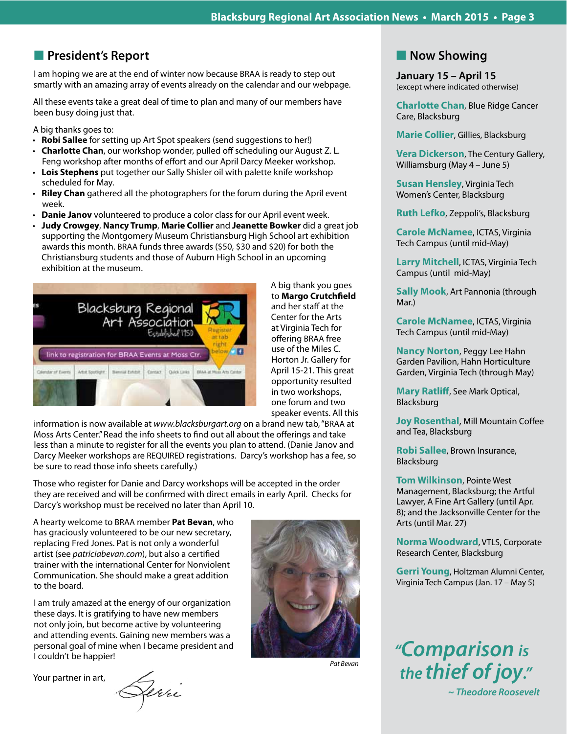# **n** President's Report

I am hoping we are at the end of winter now because BRAA is ready to step out smartly with an amazing array of events already on the calendar and our webpage.

All these events take a great deal of time to plan and many of our members have been busy doing just that.

A big thanks goes to:

- **Robi Sallee** for setting up Art Spot speakers (send suggestions to her!)
- • **Charlotte Chan**, our workshop wonder, pulled off scheduling our August Z. L. Feng workshop after months of effort and our April Darcy Meeker workshop.
- Lois Stephens put together our Sally Shisler oil with palette knife workshop scheduled for May.
- **Riley Chan** gathered all the photographers for the forum during the April event week.
- **Danie Janov** volunteered to produce a color class for our April event week.
- **Judy Crowgey, Nancy Trump, Marie Collier** and **Jeanette Bowker** did a great job supporting the Montgomery Museum Christiansburg High School art exhibition awards this month. BRAA funds three awards (\$50, \$30 and \$20) for both the Christiansburg students and those of Auburn High School in an upcoming exhibition at the museum.



A big thank you goes to **Margo Crutchfield** and her staff at the Center for the Arts at Virginia Tech for offering BRAA free use of the Miles C. Horton Jr. Gallery for April 15-21. This great opportunity resulted in two workshops, one forum and two speaker events. All this

information is now available at *www.blacksburgart.org* on a brand new tab, "BRAA at Moss Arts Center." Read the info sheets to find out all about the offerings and take less than a minute to register for all the events you plan to attend. (Danie Janov and Darcy Meeker workshops are REQUIRED registrations. Darcy's workshop has a fee, so be sure to read those info sheets carefully.)

Those who register for Danie and Darcy workshops will be accepted in the order they are received and will be confirmed with direct emails in early April. Checks for Darcy's workshop must be received no later than April 10.

A hearty welcome to BRAA member **Pat Bevan**, who has graciously volunteered to be our new secretary, replacing Fred Jones. Pat is not only a wonderful artist (see *patriciabevan.com*), but also a certified trainer with the international Center for Nonviolent Communication. She should make a great addition to the board.

I am truly amazed at the energy of our organization these days. It is gratifying to have new members not only join, but become active by volunteering and attending events. Gaining new members was a personal goal of mine when I became president and I couldn't be happier!

Your partner in art,

Derri



*Pat Bevan*

# **Now Showing**

**January 15 – April 15** (except where indicated otherwise)

**Charlotte Chan**, Blue Ridge Cancer Care, Blacksburg

**Marie Collier**, Gillies, Blacksburg

**Vera Dickerson**, The Century Gallery, Williamsburg (May 4 – June 5)

**Susan Hensley**, Virginia Tech Women's Center, Blacksburg

**Ruth Lefko**, Zeppoli's, Blacksburg

**Carole McNamee**, ICTAS, Virginia Tech Campus (until mid-May)

**Larry Mitchell**, ICTAS, Virginia Tech Campus (until mid-May)

**Sally Mook**, Art Pannonia (through Mar.)

**Carole McNamee**, ICTAS, Virginia Tech Campus (until mid-May)

**Nancy Norton**, Peggy Lee Hahn Garden Pavilion, Hahn Horticulture Garden, Virginia Tech (through May)

**Mary Ratliff**, See Mark Optical, Blacksburg

**Joy Rosenthal**, Mill Mountain Coffee and Tea, Blacksburg

**Robi Sallee**, Brown Insurance, Blacksburg

**Tom Wilkinson**, Pointe West Management, Blacksburg; the Artful Lawyer, A Fine Art Gallery (until Apr. 8); and the Jacksonville Center for the Arts (until Mar. 27)

**Norma Woodward**, VTLS, Corporate Research Center, Blacksburg

**Gerri Young**, Holtzman Alumni Center, Virginia Tech Campus (Jan. 17 – May 5)

*"***Comparison is**  *the* **thief of joy." ~ Theodore Roosevelt**